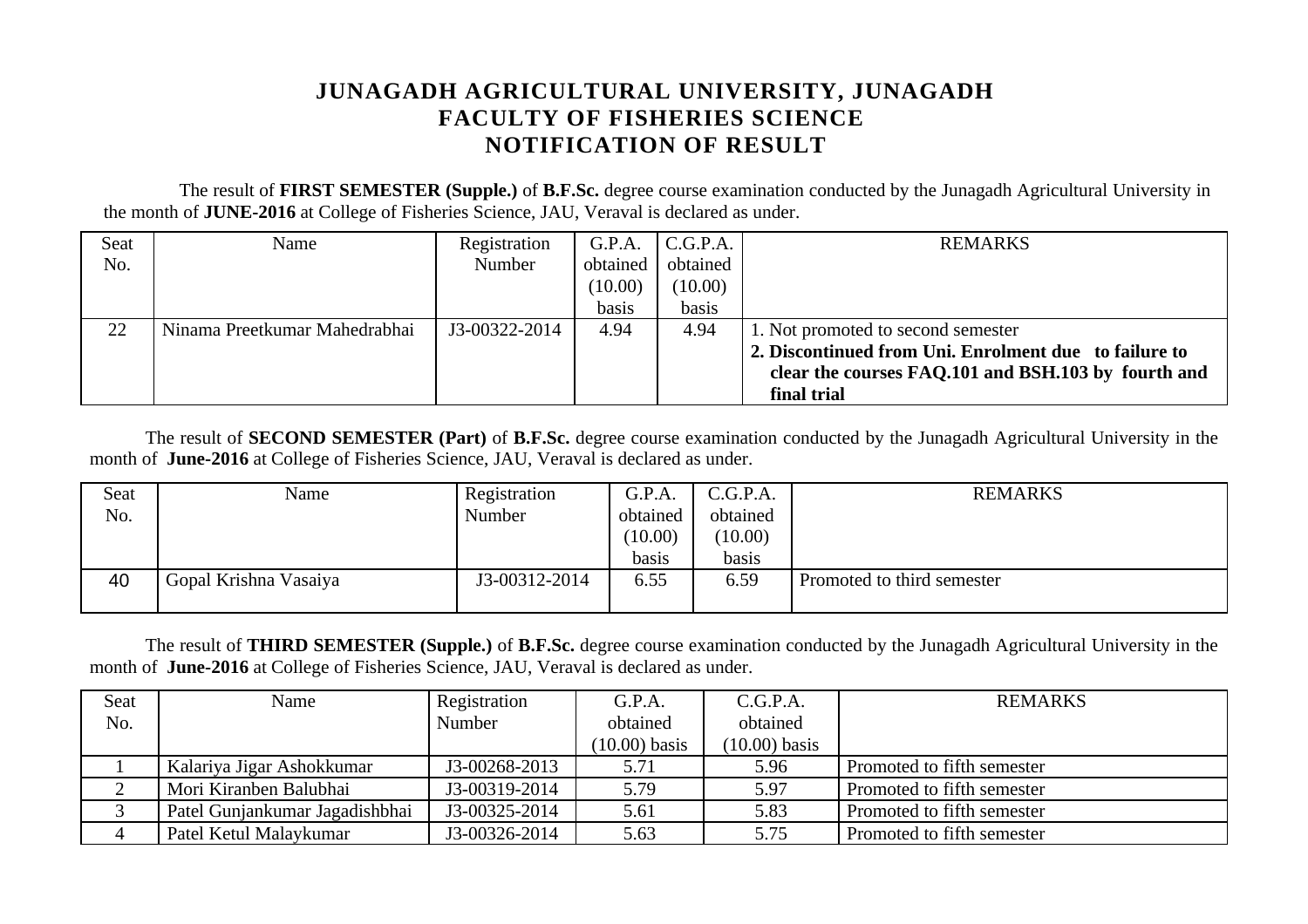## **JUNAGADH AGRICULTURAL UNIVERSITY, JUNAGADH FACULTY OF FISHERIES SCIENCE NOTIFICATION OF RESULT**

 The result of **FIRST SEMESTER (Supple.)** of **B.F.Sc.** degree course examination conducted by the Junagadh Agricultural University in the month of **JUNE-2016** at College of Fisheries Science, JAU, Veraval is declared as under.

| Seat | Name                          | Registration  | G.P.A.   | C.G.P.A. | <b>REMARKS</b>                                        |
|------|-------------------------------|---------------|----------|----------|-------------------------------------------------------|
| No.  |                               | Number        | obtained | obtained |                                                       |
|      |                               |               | (10.00)  | (10.00)  |                                                       |
|      |                               |               | basis    | basis    |                                                       |
| 22   | Ninama Preetkumar Mahedrabhai | J3-00322-2014 | 4.94     | 4.94     | 1. Not promoted to second semester                    |
|      |                               |               |          |          | 2. Discontinued from Uni. Enrolment due to failure to |
|      |                               |               |          |          | clear the courses FAQ.101 and BSH.103 by fourth and   |
|      |                               |               |          |          | final trial                                           |

The result of **SECOND SEMESTER (Part)** of **B.F.Sc.** degree course examination conducted by the Junagadh Agricultural University in the month of **June-2016** at College of Fisheries Science, JAU, Veraval is declared as under.

| Seat | Name                  | Registration  | G.P.A.   | C.G.P.A. | <b>REMARKS</b>             |
|------|-----------------------|---------------|----------|----------|----------------------------|
| No.  |                       | Number        | obtained | obtained |                            |
|      |                       |               | (10.00)  | (10.00)  |                            |
|      |                       |               | basis    | basis    |                            |
| 40   | Gopal Krishna Vasaiya | J3-00312-2014 | 6.55     | 6.59     | Promoted to third semester |
|      |                       |               |          |          |                            |

The result of **THIRD SEMESTER (Supple.)** of **B.F.Sc.** degree course examination conducted by the Junagadh Agricultural University in the month of **June-2016** at College of Fisheries Science, JAU, Veraval is declared as under.

| Seat | Name                           | Registration  | G.P.A.          | C.G.P.A.        | <b>REMARKS</b>             |
|------|--------------------------------|---------------|-----------------|-----------------|----------------------------|
| No.  |                                | Number        | obtained        | obtained        |                            |
|      |                                |               | $(10.00)$ basis | $(10.00)$ basis |                            |
|      | Kalariya Jigar Ashokkumar      | J3-00268-2013 | 5.71            | 5.96            | Promoted to fifth semester |
|      | Mori Kiranben Balubhai         | J3-00319-2014 | 5.79            | 5.97            | Promoted to fifth semester |
|      | Patel Gunjankumar Jagadishbhai | J3-00325-2014 | 5.61            | 5.83            | Promoted to fifth semester |
| 4    | Patel Ketul Malaykumar         | J3-00326-2014 | 5.63            | 5.75            | Promoted to fifth semester |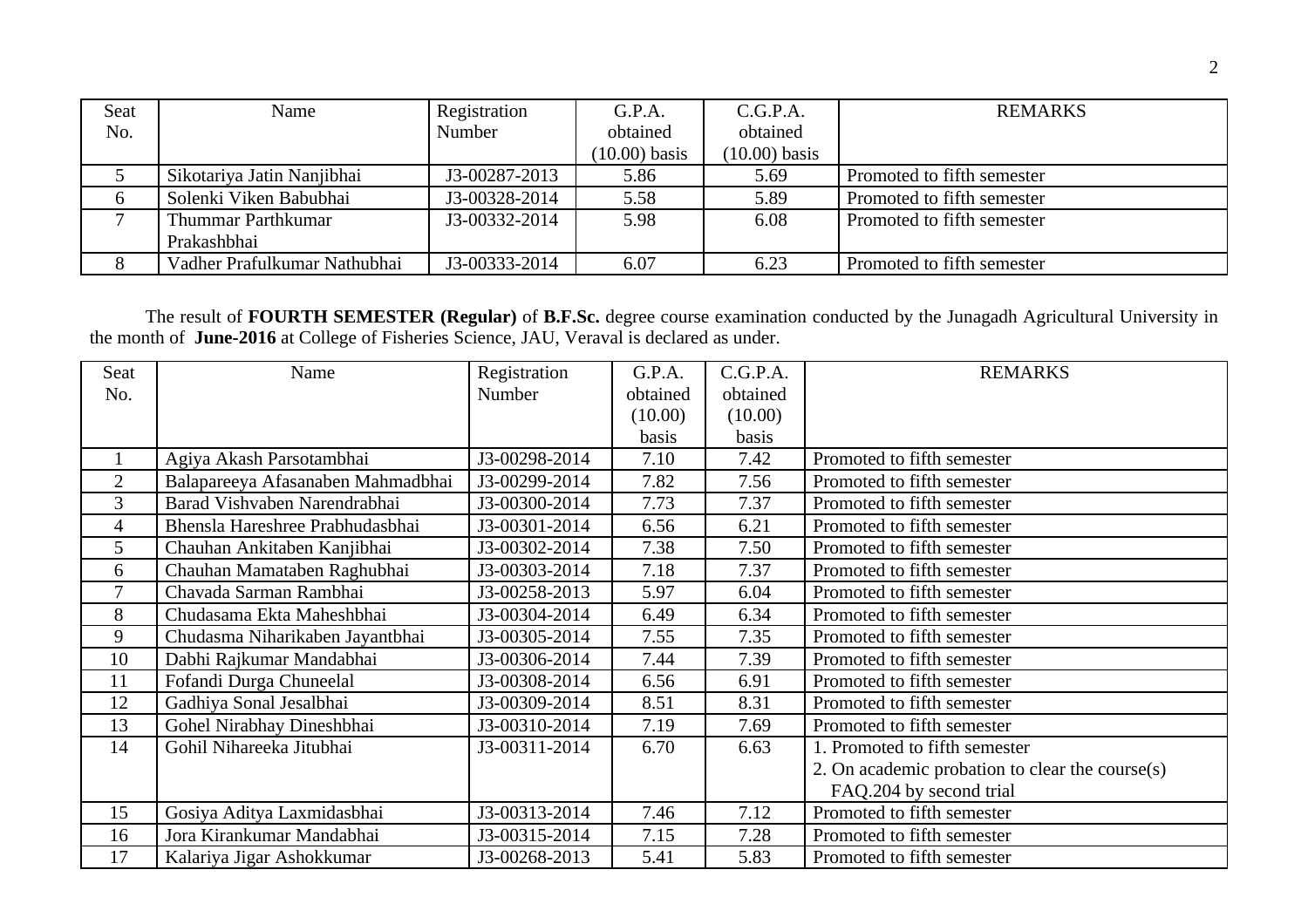| Seat | Name                         | Registration  | G.P.A.          | C.G.P.A.        | <b>REMARKS</b>             |
|------|------------------------------|---------------|-----------------|-----------------|----------------------------|
| No.  |                              | Number        | obtained        | obtained        |                            |
|      |                              |               | $(10.00)$ basis | $(10.00)$ basis |                            |
|      | Sikotariya Jatin Nanjibhai   | J3-00287-2013 | 5.86            | 5.69            | Promoted to fifth semester |
|      | Solenki Viken Babubhai       | J3-00328-2014 | 5.58            | 5.89            | Promoted to fifth semester |
|      | Thummar Parthkumar           | J3-00332-2014 | 5.98            | 6.08            | Promoted to fifth semester |
|      | Prakashbhai                  |               |                 |                 |                            |
|      | Vadher Prafulkumar Nathubhai | J3-00333-2014 | 6.07            | 6.23            | Promoted to fifth semester |

The result of **FOURTH SEMESTER (Regular)** of **B.F.Sc.** degree course examination conducted by the Junagadh Agricultural University in the month of **June-2016** at College of Fisheries Science, JAU, Veraval is declared as under.

| Seat           | Name                              | Registration  | G.P.A.   | C.G.P.A. | <b>REMARKS</b>                                  |
|----------------|-----------------------------------|---------------|----------|----------|-------------------------------------------------|
| No.            |                                   | Number        | obtained | obtained |                                                 |
|                |                                   |               | (10.00)  | (10.00)  |                                                 |
|                |                                   |               | basis    | basis    |                                                 |
| $\mathbf{1}$   | Agiya Akash Parsotambhai          | J3-00298-2014 | 7.10     | 7.42     | Promoted to fifth semester                      |
| $\overline{2}$ | Balapareeya Afasanaben Mahmadbhai | J3-00299-2014 | 7.82     | 7.56     | Promoted to fifth semester                      |
| $\mathbf{3}$   | Barad Vishvaben Narendrabhai      | J3-00300-2014 | 7.73     | 7.37     | Promoted to fifth semester                      |
| $\overline{4}$ | Bhensla Hareshree Prabhudasbhai   | J3-00301-2014 | 6.56     | 6.21     | Promoted to fifth semester                      |
| 5              | Chauhan Ankitaben Kanjibhai       | J3-00302-2014 | 7.38     | 7.50     | Promoted to fifth semester                      |
| 6              | Chauhan Mamataben Raghubhai       | J3-00303-2014 | 7.18     | 7.37     | Promoted to fifth semester                      |
| 7              | Chavada Sarman Rambhai            | J3-00258-2013 | 5.97     | 6.04     | Promoted to fifth semester                      |
| 8              | Chudasama Ekta Maheshbhai         | J3-00304-2014 | 6.49     | 6.34     | Promoted to fifth semester                      |
| 9              | Chudasma Niharikaben Jayantbhai   | J3-00305-2014 | 7.55     | 7.35     | Promoted to fifth semester                      |
| 10             | Dabhi Rajkumar Mandabhai          | J3-00306-2014 | 7.44     | 7.39     | Promoted to fifth semester                      |
| 11             | Fofandi Durga Chuneelal           | J3-00308-2014 | 6.56     | 6.91     | Promoted to fifth semester                      |
| 12             | Gadhiya Sonal Jesalbhai           | J3-00309-2014 | 8.51     | 8.31     | Promoted to fifth semester                      |
| 13             | Gohel Nirabhay Dineshbhai         | J3-00310-2014 | 7.19     | 7.69     | Promoted to fifth semester                      |
| 14             | Gohil Nihareeka Jitubhai          | J3-00311-2014 | 6.70     | 6.63     | 1. Promoted to fifth semester                   |
|                |                                   |               |          |          | 2. On academic probation to clear the course(s) |
|                |                                   |               |          |          | FAQ.204 by second trial                         |
| 15             | Gosiya Aditya Laxmidasbhai        | J3-00313-2014 | 7.46     | 7.12     | Promoted to fifth semester                      |
| 16             | Jora Kirankumar Mandabhai         | J3-00315-2014 | 7.15     | 7.28     | Promoted to fifth semester                      |
| 17             | Kalariya Jigar Ashokkumar         | J3-00268-2013 | 5.41     | 5.83     | Promoted to fifth semester                      |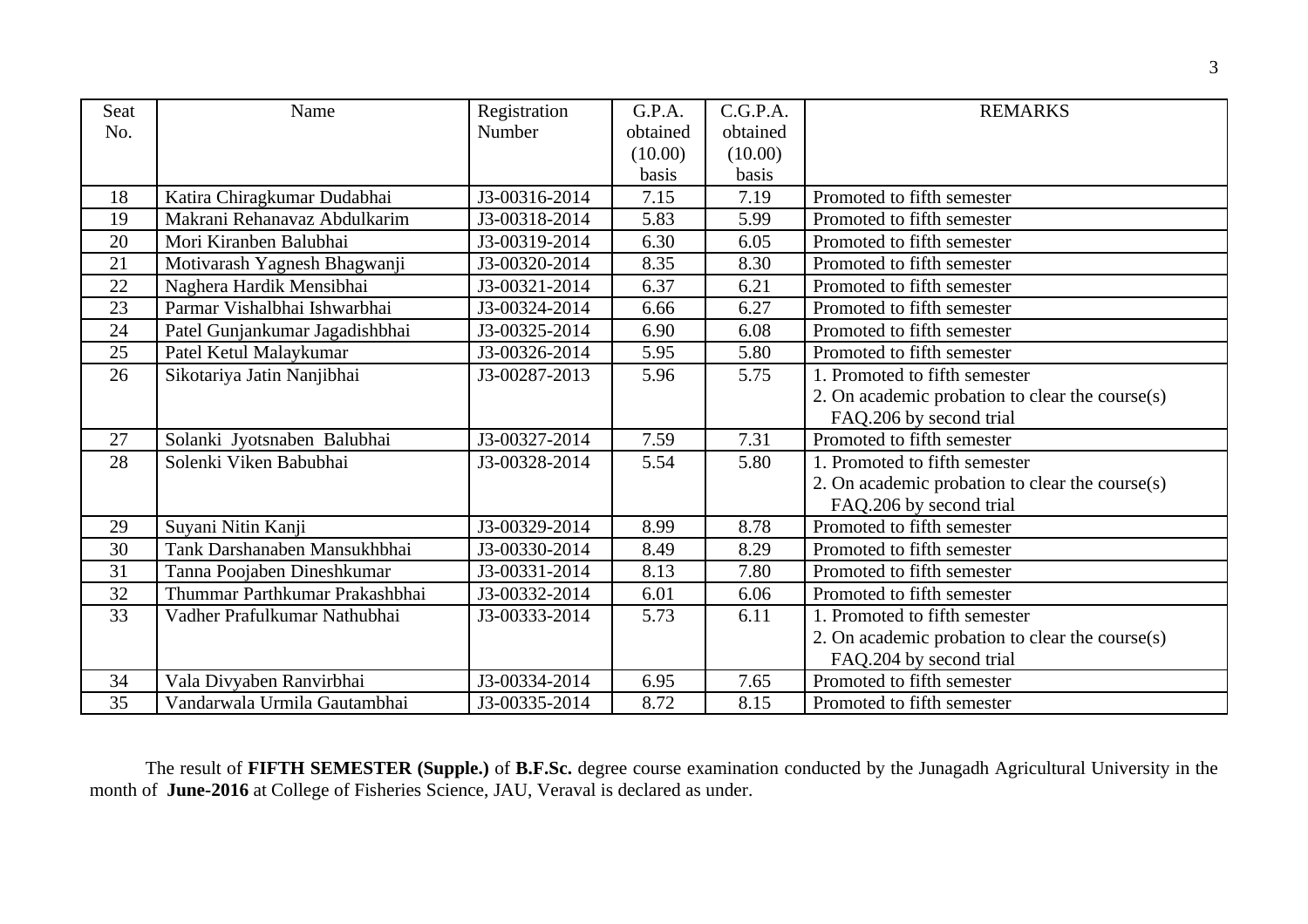| <b>Seat</b> |                                |                        | G.P.A.   | C.G.P.A. | <b>REMARKS</b>                                  |
|-------------|--------------------------------|------------------------|----------|----------|-------------------------------------------------|
|             | Name                           | Registration<br>Number |          |          |                                                 |
| No.         |                                |                        | obtained | obtained |                                                 |
|             |                                |                        | (10.00)  | (10.00)  |                                                 |
|             |                                |                        | basis    | basis    |                                                 |
| 18          | Katira Chiragkumar Dudabhai    | J3-00316-2014          | 7.15     | 7.19     | Promoted to fifth semester                      |
| 19          | Makrani Rehanavaz Abdulkarim   | J3-00318-2014          | 5.83     | 5.99     | Promoted to fifth semester                      |
| 20          | Mori Kiranben Balubhai         | J3-00319-2014          | 6.30     | 6.05     | Promoted to fifth semester                      |
| 21          | Motivarash Yagnesh Bhagwanji   | J3-00320-2014          | 8.35     | 8.30     | Promoted to fifth semester                      |
| 22          | Naghera Hardik Mensibhai       | J3-00321-2014          | 6.37     | 6.21     | Promoted to fifth semester                      |
| 23          | Parmar Vishalbhai Ishwarbhai   | J3-00324-2014          | 6.66     | 6.27     | Promoted to fifth semester                      |
| 24          | Patel Gunjankumar Jagadishbhai | J3-00325-2014          | 6.90     | 6.08     | Promoted to fifth semester                      |
| 25          | Patel Ketul Malaykumar         | J3-00326-2014          | 5.95     | 5.80     | Promoted to fifth semester                      |
| 26          | Sikotariya Jatin Nanjibhai     | J3-00287-2013          | 5.96     | 5.75     | 1. Promoted to fifth semester                   |
|             |                                |                        |          |          | 2. On academic probation to clear the course(s) |
|             |                                |                        |          |          | FAQ.206 by second trial                         |
| 27          | Solanki Jyotsnaben Balubhai    | J3-00327-2014          | 7.59     | 7.31     | Promoted to fifth semester                      |
| 28          | Solenki Viken Babubhai         | J3-00328-2014          | 5.54     | 5.80     | 1. Promoted to fifth semester                   |
|             |                                |                        |          |          | 2. On academic probation to clear the course(s) |
|             |                                |                        |          |          | FAQ.206 by second trial                         |
| 29          | Suyani Nitin Kanji             | J3-00329-2014          | 8.99     | 8.78     | Promoted to fifth semester                      |
| 30          | Tank Darshanaben Mansukhbhai   | J3-00330-2014          | 8.49     | 8.29     | Promoted to fifth semester                      |
| 31          | Tanna Poojaben Dineshkumar     | J3-00331-2014          | 8.13     | 7.80     | Promoted to fifth semester                      |
| 32          | Thummar Parthkumar Prakashbhai | J3-00332-2014          | 6.01     | 6.06     | Promoted to fifth semester                      |
| 33          | Vadher Prafulkumar Nathubhai   | J3-00333-2014          | 5.73     | 6.11     | 1. Promoted to fifth semester                   |
|             |                                |                        |          |          | 2. On academic probation to clear the course(s) |
|             |                                |                        |          |          | FAQ.204 by second trial                         |
| 34          | Vala Divyaben Ranvirbhai       | J3-00334-2014          | 6.95     | 7.65     | Promoted to fifth semester                      |
| 35          | Vandarwala Urmila Gautambhai   | J3-00335-2014          | 8.72     | 8.15     | Promoted to fifth semester                      |

The result of **FIFTH SEMESTER (Supple.)** of **B.F.Sc.** degree course examination conducted by the Junagadh Agricultural University in the month of **June-2016** at College of Fisheries Science, JAU, Veraval is declared as under.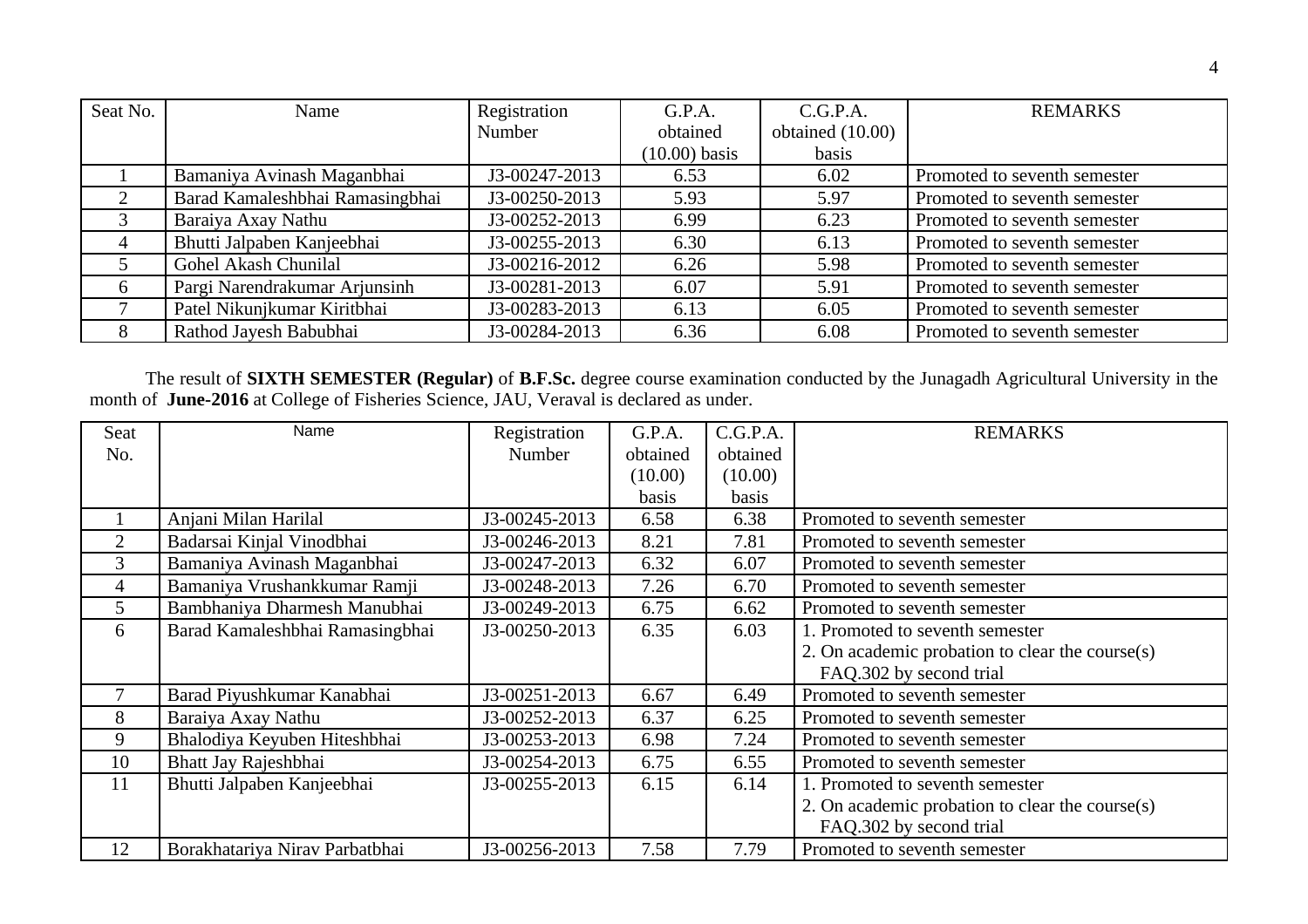| Seat No.       | Name                            | Registration  | G.P.A.          | C.G.P.A.         | <b>REMARKS</b>               |
|----------------|---------------------------------|---------------|-----------------|------------------|------------------------------|
|                |                                 | Number        | obtained        | obtained (10.00) |                              |
|                |                                 |               | $(10.00)$ basis | basis            |                              |
|                | Bamaniya Avinash Maganbhai      | J3-00247-2013 | 6.53            | 6.02             | Promoted to seventh semester |
|                | Barad Kamaleshbhai Ramasingbhai | J3-00250-2013 | 5.93            | 5.97             | Promoted to seventh semester |
|                | Baraiya Axay Nathu              | J3-00252-2013 | 6.99            | 6.23             | Promoted to seventh semester |
| $\overline{4}$ | Bhutti Jalpaben Kanjeebhai      | J3-00255-2013 | 6.30            | 6.13             | Promoted to seventh semester |
| 5              | Gohel Akash Chunilal            | J3-00216-2012 | 6.26            | 5.98             | Promoted to seventh semester |
| 6              | Pargi Narendrakumar Arjunsinh   | J3-00281-2013 | 6.07            | 5.91             | Promoted to seventh semester |
|                | Patel Nikunjkumar Kiritbhai     | J3-00283-2013 | 6.13            | 6.05             | Promoted to seventh semester |
|                | Rathod Jayesh Babubhai          | J3-00284-2013 | 6.36            | 6.08             | Promoted to seventh semester |

The result of **SIXTH SEMESTER (Regular)** of **B.F.Sc.** degree course examination conducted by the Junagadh Agricultural University in the month of **June-2016** at College of Fisheries Science, JAU, Veraval is declared as under.

| Seat | Name                            | Registration  | G.P.A.   | C.G.P.A. | <b>REMARKS</b>                                  |
|------|---------------------------------|---------------|----------|----------|-------------------------------------------------|
| No.  |                                 | Number        | obtained | obtained |                                                 |
|      |                                 |               | (10.00)  | (10.00)  |                                                 |
|      |                                 |               | basis    | basis    |                                                 |
|      | Anjani Milan Harilal            | J3-00245-2013 | 6.58     | 6.38     | Promoted to seventh semester                    |
| 2    | Badarsai Kinjal Vinodbhai       | J3-00246-2013 | 8.21     | 7.81     | Promoted to seventh semester                    |
| 3    | Bamaniya Avinash Maganbhai      | J3-00247-2013 | 6.32     | 6.07     | Promoted to seventh semester                    |
| 4    | Bamaniya Vrushankkumar Ramji    | J3-00248-2013 | 7.26     | 6.70     | Promoted to seventh semester                    |
| 5    | Bambhaniya Dharmesh Manubhai    | J3-00249-2013 | 6.75     | 6.62     | Promoted to seventh semester                    |
| 6    | Barad Kamaleshbhai Ramasingbhai | J3-00250-2013 | 6.35     | 6.03     | 1. Promoted to seventh semester                 |
|      |                                 |               |          |          | 2. On academic probation to clear the course(s) |
|      |                                 |               |          |          | FAQ.302 by second trial                         |
| 7    | Barad Piyushkumar Kanabhai      | J3-00251-2013 | 6.67     | 6.49     | Promoted to seventh semester                    |
| 8    | Baraiya Axay Nathu              | J3-00252-2013 | 6.37     | 6.25     | Promoted to seventh semester                    |
| 9    | Bhalodiya Keyuben Hiteshbhai    | J3-00253-2013 | 6.98     | 7.24     | Promoted to seventh semester                    |
| 10   | Bhatt Jay Rajeshbhai            | J3-00254-2013 | 6.75     | 6.55     | Promoted to seventh semester                    |
| 11   | Bhutti Jalpaben Kanjeebhai      | J3-00255-2013 | 6.15     | 6.14     | 1. Promoted to seventh semester                 |
|      |                                 |               |          |          | 2. On academic probation to clear the course(s) |
|      |                                 |               |          |          | FAQ.302 by second trial                         |
| 12   | Borakhatariya Nirav Parbatbhai  | J3-00256-2013 | 7.58     | 7.79     | Promoted to seventh semester                    |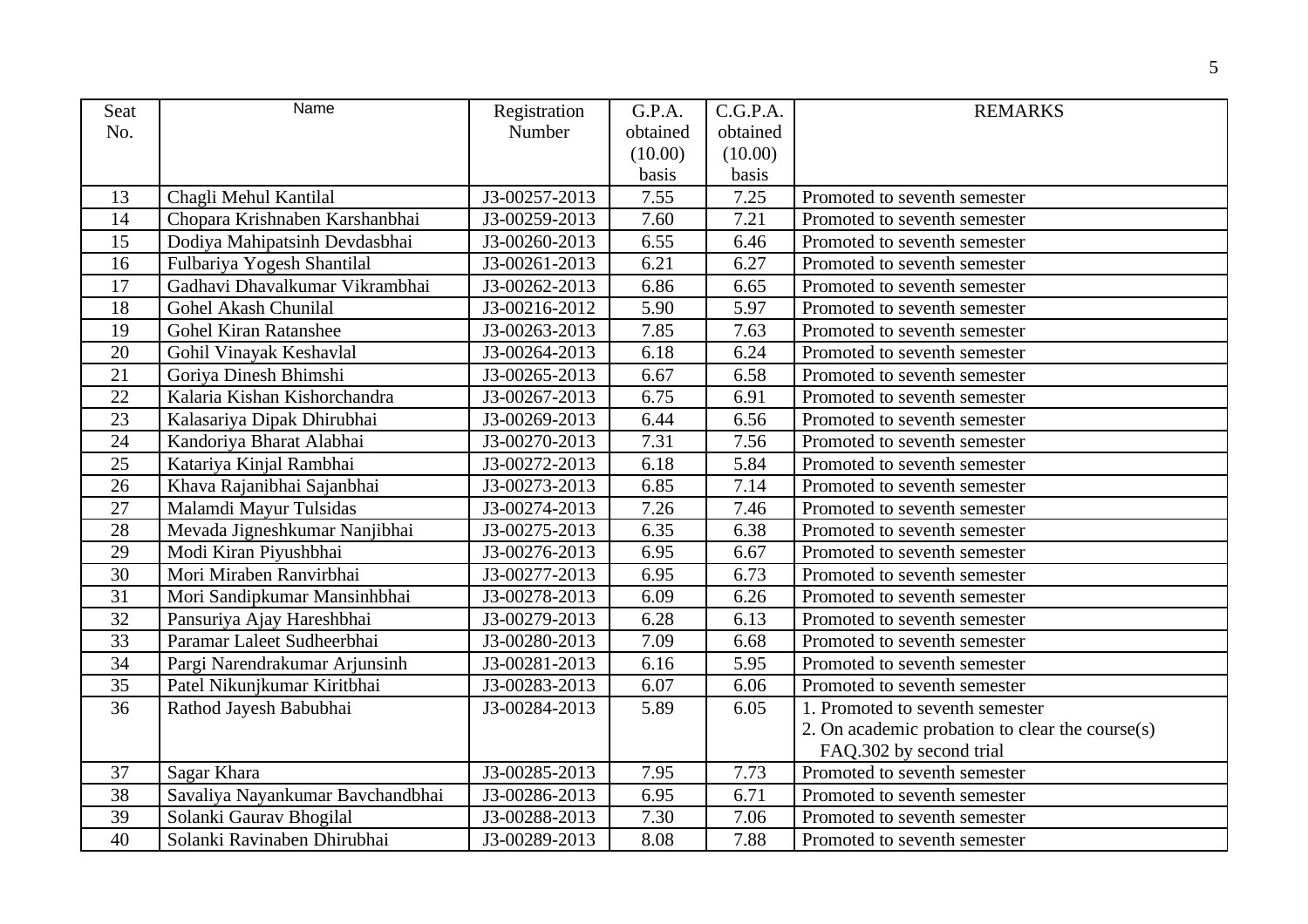| Seat            | Name                             | Registration  | G.P.A.   | C.G.P.A. | <b>REMARKS</b>                                  |
|-----------------|----------------------------------|---------------|----------|----------|-------------------------------------------------|
| No.             |                                  | Number        | obtained | obtained |                                                 |
|                 |                                  |               | (10.00)  | (10.00)  |                                                 |
|                 |                                  |               | basis    | basis    |                                                 |
| 13              | Chagli Mehul Kantilal            | J3-00257-2013 | 7.55     | 7.25     | Promoted to seventh semester                    |
| 14              | Chopara Krishnaben Karshanbhai   | J3-00259-2013 | 7.60     | 7.21     | Promoted to seventh semester                    |
| 15              | Dodiya Mahipatsinh Devdasbhai    | J3-00260-2013 | 6.55     | 6.46     | Promoted to seventh semester                    |
| 16              | Fulbariya Yogesh Shantilal       | J3-00261-2013 | 6.21     | 6.27     | Promoted to seventh semester                    |
| 17              | Gadhavi Dhavalkumar Vikrambhai   | J3-00262-2013 | 6.86     | 6.65     | Promoted to seventh semester                    |
| 18              | Gohel Akash Chunilal             | J3-00216-2012 | 5.90     | 5.97     | Promoted to seventh semester                    |
| 19              | Gohel Kiran Ratanshee            | J3-00263-2013 | 7.85     | 7.63     | Promoted to seventh semester                    |
| 20              | Gohil Vinayak Keshavlal          | J3-00264-2013 | 6.18     | 6.24     | Promoted to seventh semester                    |
| 21              | Goriya Dinesh Bhimshi            | J3-00265-2013 | 6.67     | 6.58     | Promoted to seventh semester                    |
| 22              | Kalaria Kishan Kishorchandra     | J3-00267-2013 | 6.75     | 6.91     | Promoted to seventh semester                    |
| 23              | Kalasariya Dipak Dhirubhai       | J3-00269-2013 | 6.44     | 6.56     | Promoted to seventh semester                    |
| 24              | Kandoriya Bharat Alabhai         | J3-00270-2013 | 7.31     | 7.56     | Promoted to seventh semester                    |
| 25              | Katariya Kinjal Rambhai          | J3-00272-2013 | 6.18     | 5.84     | Promoted to seventh semester                    |
| 26              | Khava Rajanibhai Sajanbhai       | J3-00273-2013 | 6.85     | 7.14     | Promoted to seventh semester                    |
| 27              | Malamdi Mayur Tulsidas           | J3-00274-2013 | 7.26     | 7.46     | Promoted to seventh semester                    |
| 28              | Mevada Jigneshkumar Nanjibhai    | J3-00275-2013 | 6.35     | 6.38     | Promoted to seventh semester                    |
| 29              | Modi Kiran Piyushbhai            | J3-00276-2013 | 6.95     | 6.67     | Promoted to seventh semester                    |
| 30              | Mori Miraben Ranvirbhai          | J3-00277-2013 | 6.95     | 6.73     | Promoted to seventh semester                    |
| 31              | Mori Sandipkumar Mansinhbhai     | J3-00278-2013 | 6.09     | 6.26     | Promoted to seventh semester                    |
| 32              | Pansuriya Ajay Hareshbhai        | J3-00279-2013 | 6.28     | 6.13     | Promoted to seventh semester                    |
| $\overline{33}$ | Paramar Laleet Sudheerbhai       | J3-00280-2013 | 7.09     | 6.68     | Promoted to seventh semester                    |
| 34              | Pargi Narendrakumar Arjunsinh    | J3-00281-2013 | 6.16     | 5.95     | Promoted to seventh semester                    |
| 35              | Patel Nikunjkumar Kiritbhai      | J3-00283-2013 | 6.07     | 6.06     | Promoted to seventh semester                    |
| 36              | Rathod Jayesh Babubhai           | J3-00284-2013 | 5.89     | 6.05     | 1. Promoted to seventh semester                 |
|                 |                                  |               |          |          | 2. On academic probation to clear the course(s) |
|                 |                                  |               |          |          | FAQ.302 by second trial                         |
| 37              | Sagar Khara                      | J3-00285-2013 | 7.95     | 7.73     | Promoted to seventh semester                    |
| 38              | Savaliya Nayankumar Bavchandbhai | J3-00286-2013 | 6.95     | 6.71     | Promoted to seventh semester                    |
| 39              | Solanki Gaurav Bhogilal          | J3-00288-2013 | 7.30     | 7.06     | Promoted to seventh semester                    |
| 40              | Solanki Ravinaben Dhirubhai      | J3-00289-2013 | 8.08     | 7.88     | Promoted to seventh semester                    |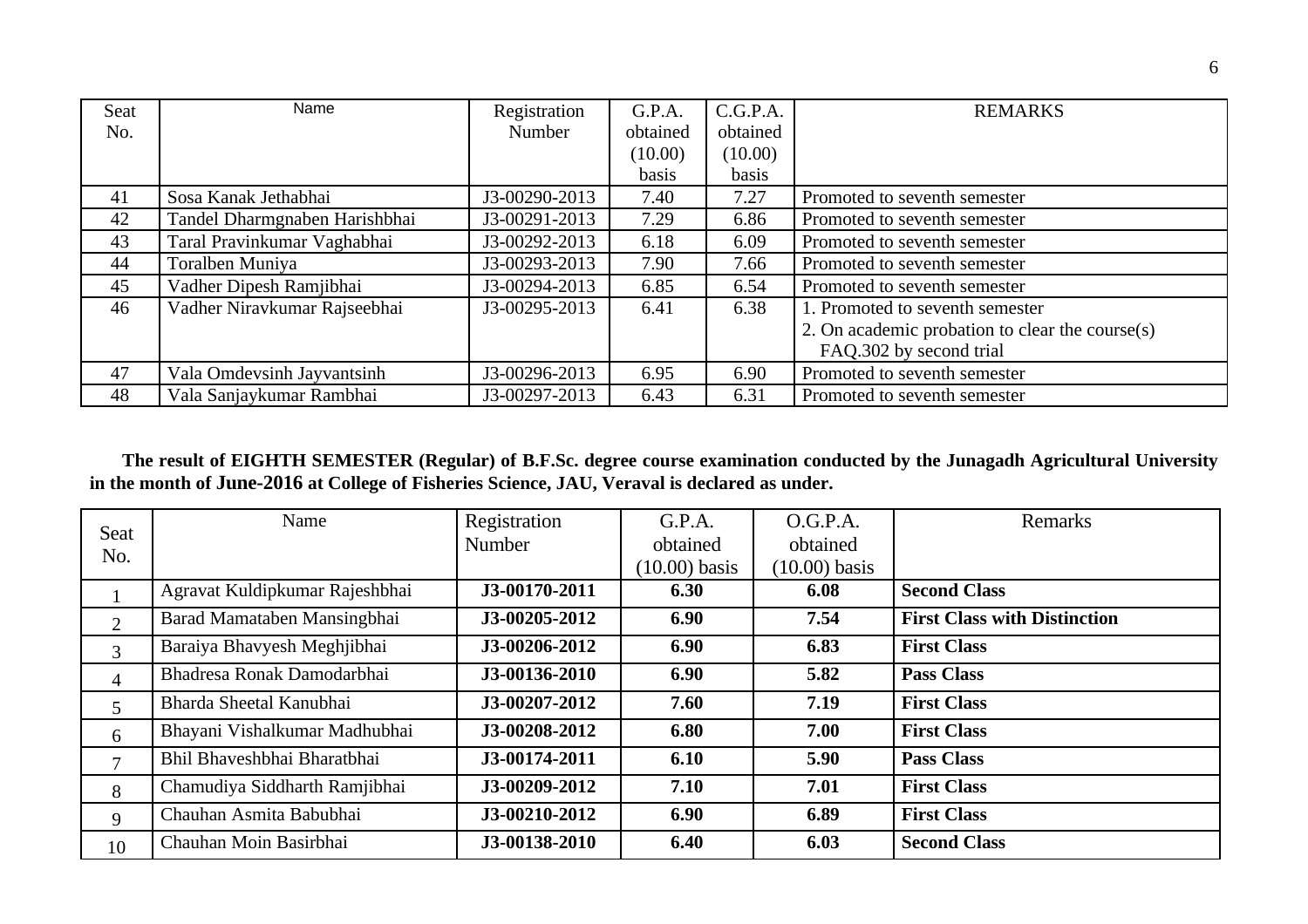| <b>Seat</b> | Name                          | Registration  | G.P.A.   | C.G.P.A. | <b>REMARKS</b>                                  |
|-------------|-------------------------------|---------------|----------|----------|-------------------------------------------------|
| No.         |                               | Number        | obtained | obtained |                                                 |
|             |                               |               | (10.00)  | (10.00)  |                                                 |
|             |                               |               | basis    | basis    |                                                 |
| 41          | Sosa Kanak Jethabhai          | J3-00290-2013 | 7.40     | 7.27     | Promoted to seventh semester                    |
| 42          | Tandel Dharmgnaben Harishbhai | J3-00291-2013 | 7.29     | 6.86     | Promoted to seventh semester                    |
| 43          | Taral Pravinkumar Vaghabhai   | J3-00292-2013 | 6.18     | 6.09     | Promoted to seventh semester                    |
| 44          | Toralben Muniya               | J3-00293-2013 | 7.90     | 7.66     | Promoted to seventh semester                    |
| 45          | Vadher Dipesh Ramjibhai       | J3-00294-2013 | 6.85     | 6.54     | Promoted to seventh semester                    |
| 46          | Vadher Niravkumar Rajseebhai  | J3-00295-2013 | 6.41     | 6.38     | 1. Promoted to seventh semester                 |
|             |                               |               |          |          | 2. On academic probation to clear the course(s) |
|             |                               |               |          |          | FAQ.302 by second trial                         |
| 47          | Vala Omdevsinh Jayvantsinh    | J3-00296-2013 | 6.95     | 6.90     | Promoted to seventh semester                    |
| 48          | Vala Sanjaykumar Rambhai      | J3-00297-2013 | 6.43     | 6.31     | Promoted to seventh semester                    |

 **The result of EIGHTH SEMESTER (Regular) of B.F.Sc. degree course examination conducted by the Junagadh Agricultural University in the month of June-2016 at College of Fisheries Science, JAU, Veraval is declared as under.** 

| Seat           | Name                           | Registration  | G.P.A.          | O.G.P.A.        | Remarks                             |
|----------------|--------------------------------|---------------|-----------------|-----------------|-------------------------------------|
|                |                                | Number        | obtained        | obtained        |                                     |
| No.            |                                |               | $(10.00)$ basis | $(10.00)$ basis |                                     |
|                | Agravat Kuldipkumar Rajeshbhai | J3-00170-2011 | 6.30            | 6.08            | <b>Second Class</b>                 |
| $\overline{2}$ | Barad Mamataben Mansingbhai    | J3-00205-2012 | 6.90            | 7.54            | <b>First Class with Distinction</b> |
| 3              | Baraiya Bhavyesh Meghjibhai    | J3-00206-2012 | 6.90            | 6.83            | <b>First Class</b>                  |
| $\overline{4}$ | Bhadresa Ronak Damodarbhai     | J3-00136-2010 | 6.90            | 5.82            | <b>Pass Class</b>                   |
| 5              | Bharda Sheetal Kanubhai        | J3-00207-2012 | 7.60            | 7.19            | <b>First Class</b>                  |
| 6              | Bhayani Vishalkumar Madhubhai  | J3-00208-2012 | 6.80            | 7.00            | <b>First Class</b>                  |
| 7              | Bhil Bhaveshbhai Bharatbhai    | J3-00174-2011 | 6.10            | 5.90            | <b>Pass Class</b>                   |
| 8              | Chamudiya Siddharth Ramjibhai  | J3-00209-2012 | 7.10            | 7.01            | <b>First Class</b>                  |
| 9              | Chauhan Asmita Babubhai        | J3-00210-2012 | 6.90            | 6.89            | <b>First Class</b>                  |
| 10             | Chauhan Moin Basirbhai         | J3-00138-2010 | 6.40            | 6.03            | <b>Second Class</b>                 |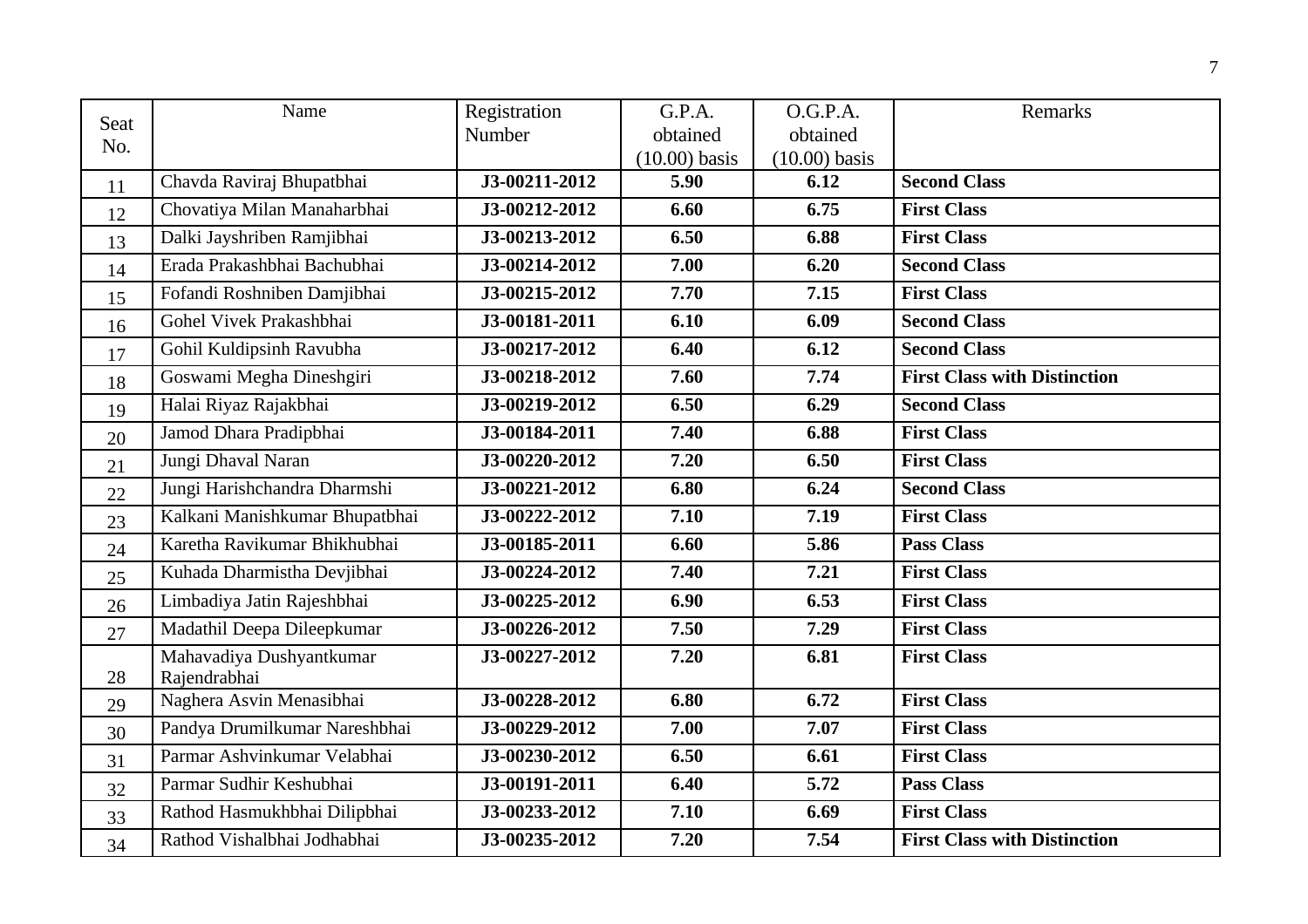| <b>Seat</b> | Name                           | Registration  | G.P.A.          | O.G.P.A.        | Remarks                             |
|-------------|--------------------------------|---------------|-----------------|-----------------|-------------------------------------|
| No.         |                                | Number        | obtained        | obtained        |                                     |
|             |                                |               | $(10.00)$ basis | $(10.00)$ basis |                                     |
| 11          | Chavda Raviraj Bhupatbhai      | J3-00211-2012 | 5.90            | 6.12            | <b>Second Class</b>                 |
| 12          | Chovatiya Milan Manaharbhai    | J3-00212-2012 | 6.60            | 6.75            | <b>First Class</b>                  |
| 13          | Dalki Jayshriben Ramjibhai     | J3-00213-2012 | 6.50            | 6.88            | <b>First Class</b>                  |
| 14          | Erada Prakashbhai Bachubhai    | J3-00214-2012 | 7.00            | 6.20            | <b>Second Class</b>                 |
| 15          | Fofandi Roshniben Damjibhai    | J3-00215-2012 | 7.70            | 7.15            | <b>First Class</b>                  |
| 16          | Gohel Vivek Prakashbhai        | J3-00181-2011 | 6.10            | 6.09            | <b>Second Class</b>                 |
| 17          | Gohil Kuldipsinh Ravubha       | J3-00217-2012 | 6.40            | 6.12            | <b>Second Class</b>                 |
| 18          | Goswami Megha Dineshgiri       | J3-00218-2012 | 7.60            | 7.74            | <b>First Class with Distinction</b> |
| 19          | Halai Riyaz Rajakbhai          | J3-00219-2012 | 6.50            | 6.29            | <b>Second Class</b>                 |
| 20          | Jamod Dhara Pradipbhai         | J3-00184-2011 | 7.40            | 6.88            | <b>First Class</b>                  |
| 21          | Jungi Dhaval Naran             | J3-00220-2012 | 7.20            | 6.50            | <b>First Class</b>                  |
| 22          | Jungi Harishchandra Dharmshi   | J3-00221-2012 | 6.80            | 6.24            | <b>Second Class</b>                 |
| 23          | Kalkani Manishkumar Bhupatbhai | J3-00222-2012 | 7.10            | 7.19            | <b>First Class</b>                  |
| 24          | Karetha Ravikumar Bhikhubhai   | J3-00185-2011 | 6.60            | 5.86            | <b>Pass Class</b>                   |
| 25          | Kuhada Dharmistha Devjibhai    | J3-00224-2012 | 7.40            | 7.21            | <b>First Class</b>                  |
| 26          | Limbadiya Jatin Rajeshbhai     | J3-00225-2012 | 6.90            | 6.53            | <b>First Class</b>                  |
| 27          | Madathil Deepa Dileepkumar     | J3-00226-2012 | 7.50            | 7.29            | <b>First Class</b>                  |
|             | Mahavadiya Dushyantkumar       | J3-00227-2012 | 7.20            | 6.81            | <b>First Class</b>                  |
| 28          | Rajendrabhai                   |               |                 |                 |                                     |
| 29          | Naghera Asvin Menasibhai       | J3-00228-2012 | 6.80            | 6.72            | <b>First Class</b>                  |
| 30          | Pandya Drumilkumar Nareshbhai  | J3-00229-2012 | 7.00            | 7.07            | <b>First Class</b>                  |
| 31          | Parmar Ashvinkumar Velabhai    | J3-00230-2012 | 6.50            | 6.61            | <b>First Class</b>                  |
| 32          | Parmar Sudhir Keshubhai        | J3-00191-2011 | 6.40            | 5.72            | <b>Pass Class</b>                   |
| 33          | Rathod Hasmukhbhai Dilipbhai   | J3-00233-2012 | 7.10            | 6.69            | <b>First Class</b>                  |
| 34          | Rathod Vishalbhai Jodhabhai    | J3-00235-2012 | 7.20            | 7.54            | <b>First Class with Distinction</b> |